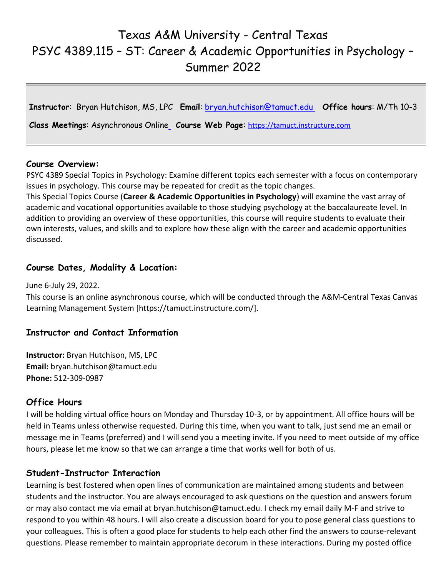# Texas A&M University - Central Texas PSYC 4389.115 – ST: Career & Academic Opportunities in Psychology – Summer 2022

**Instructor**: Bryan Hutchison, MS, LPC **Email**: [bryan.hutchison@tamuct.edu](about:blank) **Office hours**: M/Th 10-3

**Class Meetings**: Asynchronous Online **Course Web Page**: [https://tamuct.instructure.com](about:blank)

#### **Course Overview:**

PSYC 4389 Special Topics in Psychology: Examine different topics each semester with a focus on contemporary issues in psychology. This course may be repeated for credit as the topic changes.

This Special Topics Course (**Career & Academic Opportunities in Psychology**) will examine the vast array of academic and vocational opportunities available to those studying psychology at the baccalaureate level. In addition to providing an overview of these opportunities, this course will require students to evaluate their own interests, values, and skills and to explore how these align with the career and academic opportunities discussed.

#### **Course Dates, Modality & Location:**

June 6-July 29, 2022.

This course is an online asynchronous course, which will be conducted through the A&M-Central Texas Canvas Learning Management System [https://tamuct.instructure.com/].

#### **Instructor and Contact Information**

**Instructor:** Bryan Hutchison, MS, LPC **Email:** bryan.hutchison@tamuct.edu **Phone:** 512-309-0987

#### **Office Hours**

I will be holding virtual office hours on Monday and Thursday 10-3, or by appointment. All office hours will be held in Teams unless otherwise requested. During this time, when you want to talk, just send me an email or message me in Teams (preferred) and I will send you a meeting invite. If you need to meet outside of my office hours, please let me know so that we can arrange a time that works well for both of us.

#### **Student-Instructor Interaction**

Learning is best fostered when open lines of communication are maintained among students and between students and the instructor. You are always encouraged to ask questions on the question and answers forum or may also contact me via email at bryan.hutchison@tamuct.edu. I check my email daily M-F and strive to respond to you within 48 hours. I will also create a discussion board for you to pose general class questions to your colleagues. This is often a good place for students to help each other find the answers to course-relevant questions. Please remember to maintain appropriate decorum in these interactions. During my posted office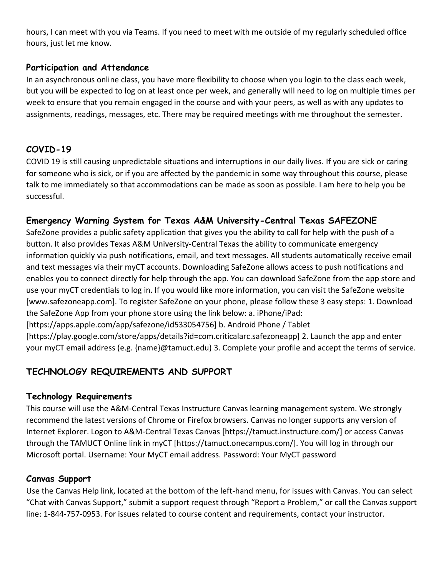hours, I can meet with you via Teams. If you need to meet with me outside of my regularly scheduled office hours, just let me know.

## **Participation and Attendance**

In an asynchronous online class, you have more flexibility to choose when you login to the class each week, but you will be expected to log on at least once per week, and generally will need to log on multiple times per week to ensure that you remain engaged in the course and with your peers, as well as with any updates to assignments, readings, messages, etc. There may be required meetings with me throughout the semester.

# **COVID-19**

COVID 19 is still causing unpredictable situations and interruptions in our daily lives. If you are sick or caring for someone who is sick, or if you are affected by the pandemic in some way throughout this course, please talk to me immediately so that accommodations can be made as soon as possible. I am here to help you be successful.

# **Emergency Warning System for Texas A&M University-Central Texas SAFEZONE**

SafeZone provides a public safety application that gives you the ability to call for help with the push of a button. It also provides Texas A&M University-Central Texas the ability to communicate emergency information quickly via push notifications, email, and text messages. All students automatically receive email and text messages via their myCT accounts. Downloading SafeZone allows access to push notifications and enables you to connect directly for help through the app. You can download SafeZone from the app store and use your myCT credentials to log in. If you would like more information, you can visit the SafeZone website [www.safezoneapp.com]. To register SafeZone on your phone, please follow these 3 easy steps: 1. Download the SafeZone App from your phone store using the link below: a. iPhone/iPad: [https://apps.apple.com/app/safezone/id533054756] b. Android Phone / Tablet

[https://play.google.com/store/apps/details?id=com.criticalarc.safezoneapp] 2. Launch the app and enter

your myCT email address (e.g. {name}@tamuct.edu) 3. Complete your profile and accept the terms of service.

# **TECHNOLOGY REQUIREMENTS AND SUPPORT**

#### **Technology Requirements**

This course will use the A&M-Central Texas Instructure Canvas learning management system. We strongly recommend the latest versions of Chrome or Firefox browsers. Canvas no longer supports any version of Internet Explorer. Logon to A&M-Central Texas Canvas [https://tamuct.instructure.com/] or access Canvas through the TAMUCT Online link in myCT [https://tamuct.onecampus.com/]. You will log in through our Microsoft portal. Username: Your MyCT email address. Password: Your MyCT password

## **Canvas Support**

Use the Canvas Help link, located at the bottom of the left-hand menu, for issues with Canvas. You can select "Chat with Canvas Support," submit a support request through "Report a Problem," or call the Canvas support line: 1-844-757-0953. For issues related to course content and requirements, contact your instructor.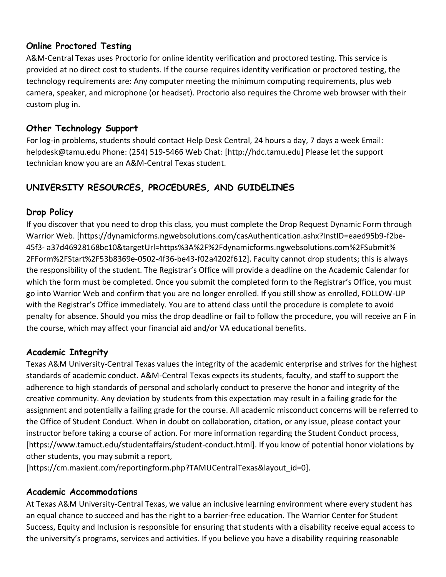## **Online Proctored Testing**

A&M-Central Texas uses Proctorio for online identity verification and proctored testing. This service is provided at no direct cost to students. If the course requires identity verification or proctored testing, the technology requirements are: Any computer meeting the minimum computing requirements, plus web camera, speaker, and microphone (or headset). Proctorio also requires the Chrome web browser with their custom plug in.

## **Other Technology Support**

For log-in problems, students should contact Help Desk Central, 24 hours a day, 7 days a week Email: helpdesk@tamu.edu Phone: (254) 519-5466 Web Chat: [http://hdc.tamu.edu] Please let the support technician know you are an A&M-Central Texas student.

# **UNIVERSITY RESOURCES, PROCEDURES, AND GUIDELINES**

## **Drop Policy**

If you discover that you need to drop this class, you must complete the Drop Request Dynamic Form through Warrior Web. [https://dynamicforms.ngwebsolutions.com/casAuthentication.ashx?InstID=eaed95b9-f2be-45f3- a37d46928168bc10&targetUrl=https%3A%2F%2Fdynamicforms.ngwebsolutions.com%2FSubmit% 2FForm%2FStart%2F53b8369e-0502-4f36-be43-f02a4202f612]. Faculty cannot drop students; this is always the responsibility of the student. The Registrar's Office will provide a deadline on the Academic Calendar for which the form must be completed. Once you submit the completed form to the Registrar's Office, you must go into Warrior Web and confirm that you are no longer enrolled. If you still show as enrolled, FOLLOW-UP with the Registrar's Office immediately. You are to attend class until the procedure is complete to avoid penalty for absence. Should you miss the drop deadline or fail to follow the procedure, you will receive an F in the course, which may affect your financial aid and/or VA educational benefits.

#### **Academic Integrity**

Texas A&M University-Central Texas values the integrity of the academic enterprise and strives for the highest standards of academic conduct. A&M-Central Texas expects its students, faculty, and staff to support the adherence to high standards of personal and scholarly conduct to preserve the honor and integrity of the creative community. Any deviation by students from this expectation may result in a failing grade for the assignment and potentially a failing grade for the course. All academic misconduct concerns will be referred to the Office of Student Conduct. When in doubt on collaboration, citation, or any issue, please contact your instructor before taking a course of action. For more information regarding the Student Conduct process, [https://www.tamuct.edu/studentaffairs/student-conduct.html]. If you know of potential honor violations by other students, you may submit a report,

[https://cm.maxient.com/reportingform.php?TAMUCentralTexas&layout\_id=0].

#### **Academic Accommodations**

At Texas A&M University-Central Texas, we value an inclusive learning environment where every student has an equal chance to succeed and has the right to a barrier-free education. The Warrior Center for Student Success, Equity and Inclusion is responsible for ensuring that students with a disability receive equal access to the university's programs, services and activities. If you believe you have a disability requiring reasonable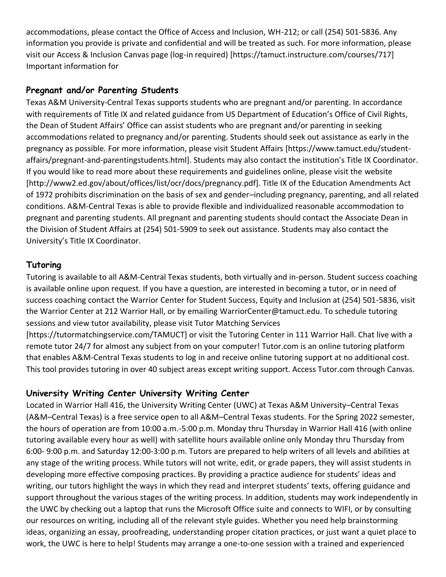accommodations, please contact the Office of Access and Inclusion, WH-212; or call (254) 501-5836. Any information you provide is private and confidential and will be treated as such. For more information, please visit our Access & Inclusion Canvas page (log-in required) [https://tamuct.instructure.com/courses/717] Important information for

## **Pregnant and/or Parenting Students**

Texas A&M University-Central Texas supports students who are pregnant and/or parenting. In accordance with requirements of Title IX and related guidance from US Department of Education's Office of Civil Rights, the Dean of Student Affairs' Office can assist students who are pregnant and/or parenting in seeking accommodations related to pregnancy and/or parenting. Students should seek out assistance as early in the pregnancy as possible. For more information, please visit Student Affairs [https://www.tamuct.edu/studentaffairs/pregnant-and-parentingstudents.html]. Students may also contact the institution's Title IX Coordinator. If you would like to read more about these requirements and guidelines online, please visit the website [http://www2.ed.gov/about/offices/list/ocr/docs/pregnancy.pdf]. Title IX of the Education Amendments Act of 1972 prohibits discrimination on the basis of sex and gender–including pregnancy, parenting, and all related conditions. A&M-Central Texas is able to provide flexible and individualized reasonable accommodation to pregnant and parenting students. All pregnant and parenting students should contact the Associate Dean in the Division of Student Affairs at (254) 501-5909 to seek out assistance. Students may also contact the University's Title IX Coordinator.

## **Tutoring**

Tutoring is available to all A&M-Central Texas students, both virtually and in-person. Student success coaching is available online upon request. If you have a question, are interested in becoming a tutor, or in need of success coaching contact the Warrior Center for Student Success, Equity and Inclusion at (254) 501-5836, visit the Warrior Center at 212 Warrior Hall, or by emailing WarriorCenter@tamuct.edu. To schedule tutoring sessions and view tutor availability, please visit Tutor Matching Services

[https://tutormatchingservice.com/TAMUCT] or visit the Tutoring Center in 111 Warrior Hall. Chat live with a remote tutor 24/7 for almost any subject from on your computer! Tutor.com is an online tutoring platform that enables A&M-Central Texas students to log in and receive online tutoring support at no additional cost. This tool provides tutoring in over 40 subject areas except writing support. Access Tutor.com through Canvas.

## **University Writing Center University Writing Center**

Located in Warrior Hall 416, the University Writing Center (UWC) at Texas A&M University–Central Texas (A&M–Central Texas) is a free service open to all A&M–Central Texas students. For the Spring 2022 semester, the hours of operation are from 10:00 a.m.-5:00 p.m. Monday thru Thursday in Warrior Hall 416 (with online tutoring available every hour as well) with satellite hours available online only Monday thru Thursday from 6:00- 9:00 p.m. and Saturday 12:00-3:00 p.m. Tutors are prepared to help writers of all levels and abilities at any stage of the writing process. While tutors will not write, edit, or grade papers, they will assist students in developing more effective composing practices. By providing a practice audience for students' ideas and writing, our tutors highlight the ways in which they read and interpret students' texts, offering guidance and support throughout the various stages of the writing process. In addition, students may work independently in the UWC by checking out a laptop that runs the Microsoft Office suite and connects to WIFI, or by consulting our resources on writing, including all of the relevant style guides. Whether you need help brainstorming ideas, organizing an essay, proofreading, understanding proper citation practices, or just want a quiet place to work, the UWC is here to help! Students may arrange a one-to-one session with a trained and experienced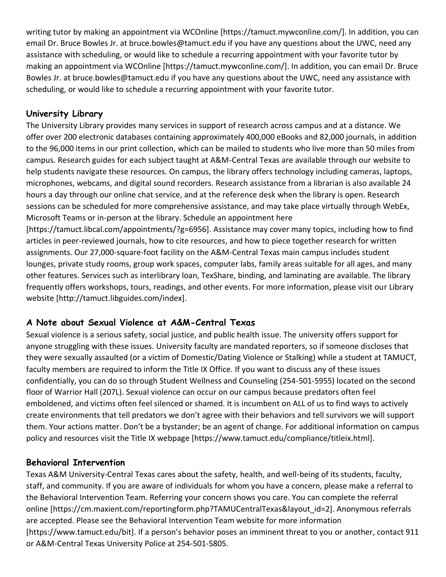writing tutor by making an appointment via WCOnline [https://tamuct.mywconline.com/]. In addition, you can email Dr. Bruce Bowles Jr. at bruce.bowles@tamuct.edu if you have any questions about the UWC, need any assistance with scheduling, or would like to schedule a recurring appointment with your favorite tutor by making an appointment via WCOnline [https://tamuct.mywconline.com/]. In addition, you can email Dr. Bruce Bowles Jr. at bruce.bowles@tamuct.edu if you have any questions about the UWC, need any assistance with scheduling, or would like to schedule a recurring appointment with your favorite tutor.

## **University Library**

The University Library provides many services in support of research across campus and at a distance. We offer over 200 electronic databases containing approximately 400,000 eBooks and 82,000 journals, in addition to the 96,000 items in our print collection, which can be mailed to students who live more than 50 miles from campus. Research guides for each subject taught at A&M-Central Texas are available through our website to help students navigate these resources. On campus, the library offers technology including cameras, laptops, microphones, webcams, and digital sound recorders. Research assistance from a librarian is also available 24 hours a day through our online chat service, and at the reference desk when the library is open. Research sessions can be scheduled for more comprehensive assistance, and may take place virtually through WebEx, Microsoft Teams or in-person at the library. Schedule an appointment here

[https://tamuct.libcal.com/appointments/?g=6956]. Assistance may cover many topics, including how to find articles in peer-reviewed journals, how to cite resources, and how to piece together research for written assignments. Our 27,000-square-foot facility on the A&M-Central Texas main campus includes student lounges, private study rooms, group work spaces, computer labs, family areas suitable for all ages, and many other features. Services such as interlibrary loan, TexShare, binding, and laminating are available. The library frequently offers workshops, tours, readings, and other events. For more information, please visit our Library website [http://tamuct.libguides.com/index].

## **A Note about Sexual Violence at A&M-Central Texas**

Sexual violence is a serious safety, social justice, and public health issue. The university offers support for anyone struggling with these issues. University faculty are mandated reporters, so if someone discloses that they were sexually assaulted (or a victim of Domestic/Dating Violence or Stalking) while a student at TAMUCT, faculty members are required to inform the Title IX Office. If you want to discuss any of these issues confidentially, you can do so through Student Wellness and Counseling (254-501-5955) located on the second floor of Warrior Hall (207L). Sexual violence can occur on our campus because predators often feel emboldened, and victims often feel silenced or shamed. It is incumbent on ALL of us to find ways to actively create environments that tell predators we don't agree with their behaviors and tell survivors we will support them. Your actions matter. Don't be a bystander; be an agent of change. For additional information on campus policy and resources visit the Title IX webpage [https://www.tamuct.edu/compliance/titleix.html].

## **Behavioral Intervention**

Texas A&M University-Central Texas cares about the safety, health, and well-being of its students, faculty, staff, and community. If you are aware of individuals for whom you have a concern, please make a referral to the Behavioral Intervention Team. Referring your concern shows you care. You can complete the referral online [https://cm.maxient.com/reportingform.php?TAMUCentralTexas&layout\_id=2]. Anonymous referrals are accepted. Please see the Behavioral Intervention Team website for more information [https://www.tamuct.edu/bit]. If a person's behavior poses an imminent threat to you or another, contact 911 or A&M-Central Texas University Police at 254-501-5805.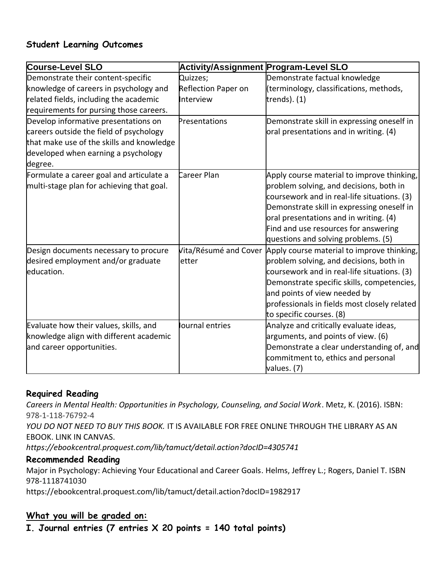## **Student Learning Outcomes**

| <b>Course-Level SLO</b>                   | Activity/Assignment Program-Level SLO |                                              |  |  |  |  |
|-------------------------------------------|---------------------------------------|----------------------------------------------|--|--|--|--|
| Demonstrate their content-specific        | Quizzes;                              | Demonstrate factual knowledge                |  |  |  |  |
| knowledge of careers in psychology and    | <b>Reflection Paper on</b>            | (terminology, classifications, methods,      |  |  |  |  |
| related fields, including the academic    | Interview                             | trends). $(1)$                               |  |  |  |  |
| requirements for pursing those careers.   |                                       |                                              |  |  |  |  |
| Develop informative presentations on      | Presentations                         | Demonstrate skill in expressing oneself in   |  |  |  |  |
| careers outside the field of psychology   |                                       | oral presentations and in writing. (4)       |  |  |  |  |
| that make use of the skills and knowledge |                                       |                                              |  |  |  |  |
| developed when earning a psychology       |                                       |                                              |  |  |  |  |
| degree.                                   |                                       |                                              |  |  |  |  |
| Formulate a career goal and articulate a  | Career Plan                           | Apply course material to improve thinking,   |  |  |  |  |
| multi-stage plan for achieving that goal. |                                       | problem solving, and decisions, both in      |  |  |  |  |
|                                           |                                       | coursework and in real-life situations. (3)  |  |  |  |  |
|                                           |                                       | Demonstrate skill in expressing oneself in   |  |  |  |  |
|                                           |                                       | oral presentations and in writing. (4)       |  |  |  |  |
|                                           |                                       | Find and use resources for answering         |  |  |  |  |
|                                           |                                       | questions and solving problems. (5)          |  |  |  |  |
| Design documents necessary to procure     | Vita/Résumé and Cover                 | Apply course material to improve thinking,   |  |  |  |  |
| desired employment and/or graduate        | letter                                | problem solving, and decisions, both in      |  |  |  |  |
| education.                                |                                       | coursework and in real-life situations. (3)  |  |  |  |  |
|                                           |                                       | Demonstrate specific skills, competencies,   |  |  |  |  |
|                                           |                                       | and points of view needed by                 |  |  |  |  |
|                                           |                                       | professionals in fields most closely related |  |  |  |  |
|                                           |                                       | to specific courses. (8)                     |  |  |  |  |
| Evaluate how their values, skills, and    | Journal entries                       | Analyze and critically evaluate ideas,       |  |  |  |  |
| knowledge align with different academic   |                                       | arguments, and points of view. (6)           |  |  |  |  |
| and career opportunities.                 |                                       | Demonstrate a clear understanding of, and    |  |  |  |  |
|                                           |                                       | commitment to, ethics and personal           |  |  |  |  |
|                                           |                                       | values. (7)                                  |  |  |  |  |

#### **Required Reading**

*Careers in Mental Health: Opportunities in Psychology, Counseling, and Social Work*. Metz, K. (2016). ISBN: 978-1-118-76792-4 *YOU DO NOT NEED TO BUY THIS BOOK.* IT IS AVAILABLE FOR FREE ONLINE THROUGH THE LIBRARY AS AN EBOOK. LINK IN CANVAS. *https://ebookcentral.proquest.com/lib/tamuct/detail.action?docID=4305741*

#### **Recommended Reading**

Major in Psychology: Achieving Your Educational and Career Goals. Helms, Jeffrey L.; Rogers, Daniel T. ISBN 978-1118741030

https://ebookcentral.proquest.com/lib/tamuct/detail.action?docID=1982917

#### **What you will be graded on:**

**I. Journal entries (7 entries X 20 points = 140 total points)**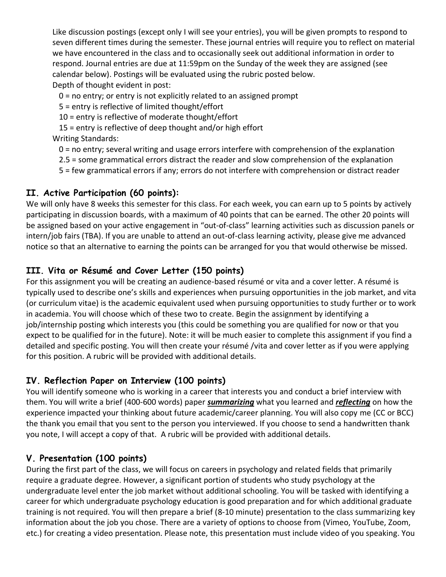Like discussion postings (except only I will see your entries), you will be given prompts to respond to seven different times during the semester. These journal entries will require you to reflect on material we have encountered in the class and to occasionally seek out additional information in order to respond. Journal entries are due at 11:59pm on the Sunday of the week they are assigned (see calendar below). Postings will be evaluated using the rubric posted below. Depth of thought evident in post:

0 = no entry; or entry is not explicitly related to an assigned prompt

5 = entry is reflective of limited thought/effort

10 = entry is reflective of moderate thought/effort

15 = entry is reflective of deep thought and/or high effort

Writing Standards:

- 0 = no entry; several writing and usage errors interfere with comprehension of the explanation
- 2.5 = some grammatical errors distract the reader and slow comprehension of the explanation
- 5 = few grammatical errors if any; errors do not interfere with comprehension or distract reader

#### **II. Active Participation (60 points):**

We will only have 8 weeks this semester for this class. For each week, you can earn up to 5 points by actively participating in discussion boards, with a maximum of 40 points that can be earned. The other 20 points will be assigned based on your active engagement in "out-of-class" learning activities such as discussion panels or intern/job fairs (TBA). If you are unable to attend an out-of-class learning activity, please give me advanced notice so that an alternative to earning the points can be arranged for you that would otherwise be missed.

## **III. Vita or Résumé and Cover Letter (150 points)**

For this assignment you will be creating an audience-based résumé or vita and a cover letter. A résumé is typically used to describe one's skills and experiences when pursuing opportunities in the job market, and vita (or curriculum vitae) is the academic equivalent used when pursuing opportunities to study further or to work in academia. You will choose which of these two to create. Begin the assignment by identifying a job/internship posting which interests you (this could be something you are qualified for now or that you expect to be qualified for in the future). Note: it will be much easier to complete this assignment if you find a detailed and specific posting. You will then create your résumé /vita and cover letter as if you were applying for this position. A rubric will be provided with additional details.

## **IV. Reflection Paper on Interview (100 points)**

You will identify someone who is working in a career that interests you and conduct a brief interview with them. You will write a brief (400-600 words) paper *summarizing* what you learned and *reflecting* on how the experience impacted your thinking about future academic/career planning. You will also copy me (CC or BCC) the thank you email that you sent to the person you interviewed. If you choose to send a handwritten thank you note, I will accept a copy of that. A rubric will be provided with additional details.

## **V. Presentation (100 points)**

During the first part of the class, we will focus on careers in psychology and related fields that primarily require a graduate degree. However, a significant portion of students who study psychology at the undergraduate level enter the job market without additional schooling. You will be tasked with identifying a career for which undergraduate psychology education is good preparation and for which additional graduate training is not required. You will then prepare a brief (8-10 minute) presentation to the class summarizing key information about the job you chose. There are a variety of options to choose from (Vimeo, YouTube, Zoom, etc.) for creating a video presentation. Please note, this presentation must include video of you speaking. You